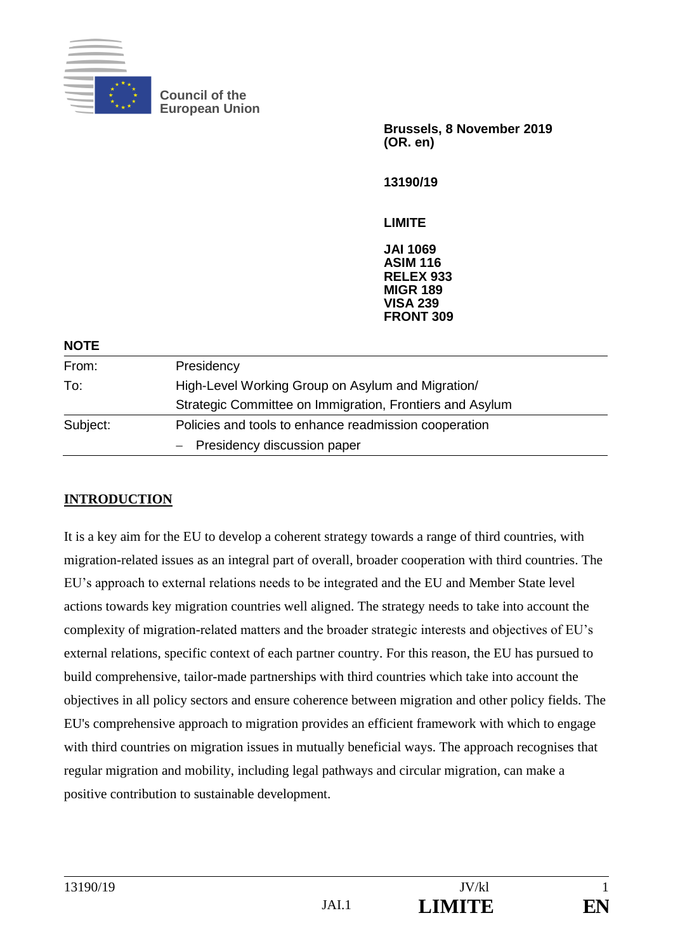

**Council of the European Union**

> **Brussels, 8 November 2019 (OR. en)**

**13190/19**

**LIMITE**

**JAI 1069 ASIM 116 RELEX 933 MIGR 189 VISA 239 FRONT 309**

| <b>NOTE</b> |                                                          |  |
|-------------|----------------------------------------------------------|--|
| From:       | Presidency                                               |  |
| To:         | High-Level Working Group on Asylum and Migration/        |  |
|             | Strategic Committee on Immigration, Frontiers and Asylum |  |
| Subject:    | Policies and tools to enhance readmission cooperation    |  |
|             | - Presidency discussion paper                            |  |
|             |                                                          |  |

## **INTRODUCTION**

It is a key aim for the EU to develop a coherent strategy towards a range of third countries, with migration-related issues as an integral part of overall, broader cooperation with third countries. The EU's approach to external relations needs to be integrated and the EU and Member State level actions towards key migration countries well aligned. The strategy needs to take into account the complexity of migration-related matters and the broader strategic interests and objectives of EU's external relations, specific context of each partner country. For this reason, the EU has pursued to build comprehensive, tailor-made partnerships with third countries which take into account the objectives in all policy sectors and ensure coherence between migration and other policy fields. The EU's comprehensive approach to migration provides an efficient framework with which to engage with third countries on migration issues in mutually beneficial ways. The approach recognises that regular migration and mobility, including legal pathways and circular migration, can make a positive contribution to sustainable development.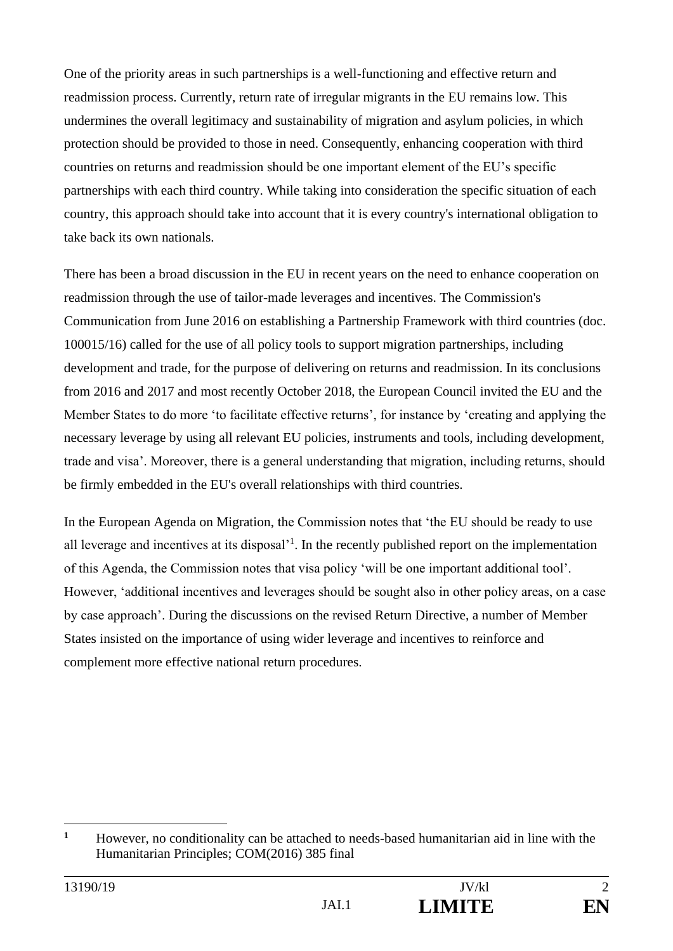One of the priority areas in such partnerships is a well-functioning and effective return and readmission process. Currently, return rate of irregular migrants in the EU remains low. This undermines the overall legitimacy and sustainability of migration and asylum policies, in which protection should be provided to those in need. Consequently, enhancing cooperation with third countries on returns and readmission should be one important element of the EU's specific partnerships with each third country. While taking into consideration the specific situation of each country, this approach should take into account that it is every country's international obligation to take back its own nationals.

There has been a broad discussion in the EU in recent years on the need to enhance cooperation on readmission through the use of tailor-made leverages and incentives. The Commission's Communication from June 2016 on establishing a Partnership Framework with third countries (doc. 100015/16) called for the use of all policy tools to support migration partnerships, including development and trade, for the purpose of delivering on returns and readmission. In its conclusions from 2016 and 2017 and most recently October 2018, the European Council invited the EU and the Member States to do more 'to facilitate effective returns', for instance by 'creating and applying the necessary leverage by using all relevant EU policies, instruments and tools, including development, trade and visa'. Moreover, there is a general understanding that migration, including returns, should be firmly embedded in the EU's overall relationships with third countries.

In the European Agenda on Migration, the Commission notes that 'the EU should be ready to use all leverage and incentives at its disposal'<sup>1</sup>. In the recently published report on the implementation of this Agenda, the Commission notes that visa policy 'will be one important additional tool'. However, 'additional incentives and leverages should be sought also in other policy areas, on a case by case approach'. During the discussions on the revised Return Directive, a number of Member States insisted on the importance of using wider leverage and incentives to reinforce and complement more effective national return procedures.

**<sup>1</sup>** However, no conditionality can be attached to needs-based humanitarian aid in line with the Humanitarian Principles; COM(2016) 385 final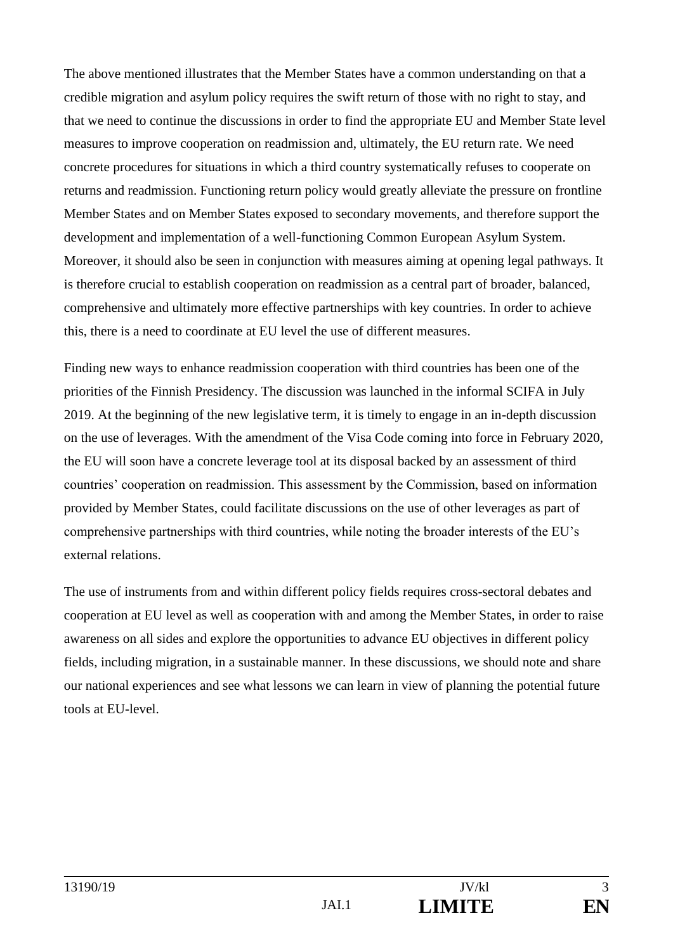The above mentioned illustrates that the Member States have a common understanding on that a credible migration and asylum policy requires the swift return of those with no right to stay, and that we need to continue the discussions in order to find the appropriate EU and Member State level measures to improve cooperation on readmission and, ultimately, the EU return rate. We need concrete procedures for situations in which a third country systematically refuses to cooperate on returns and readmission. Functioning return policy would greatly alleviate the pressure on frontline Member States and on Member States exposed to secondary movements, and therefore support the development and implementation of a well-functioning Common European Asylum System. Moreover, it should also be seen in conjunction with measures aiming at opening legal pathways. It is therefore crucial to establish cooperation on readmission as a central part of broader, balanced, comprehensive and ultimately more effective partnerships with key countries. In order to achieve this, there is a need to coordinate at EU level the use of different measures.

Finding new ways to enhance readmission cooperation with third countries has been one of the priorities of the Finnish Presidency. The discussion was launched in the informal SCIFA in July 2019. At the beginning of the new legislative term, it is timely to engage in an in-depth discussion on the use of leverages. With the amendment of the Visa Code coming into force in February 2020, the EU will soon have a concrete leverage tool at its disposal backed by an assessment of third countries' cooperation on readmission. This assessment by the Commission, based on information provided by Member States, could facilitate discussions on the use of other leverages as part of comprehensive partnerships with third countries, while noting the broader interests of the EU's external relations.

The use of instruments from and within different policy fields requires cross-sectoral debates and cooperation at EU level as well as cooperation with and among the Member States, in order to raise awareness on all sides and explore the opportunities to advance EU objectives in different policy fields, including migration, in a sustainable manner. In these discussions, we should note and share our national experiences and see what lessons we can learn in view of planning the potential future tools at EU-level.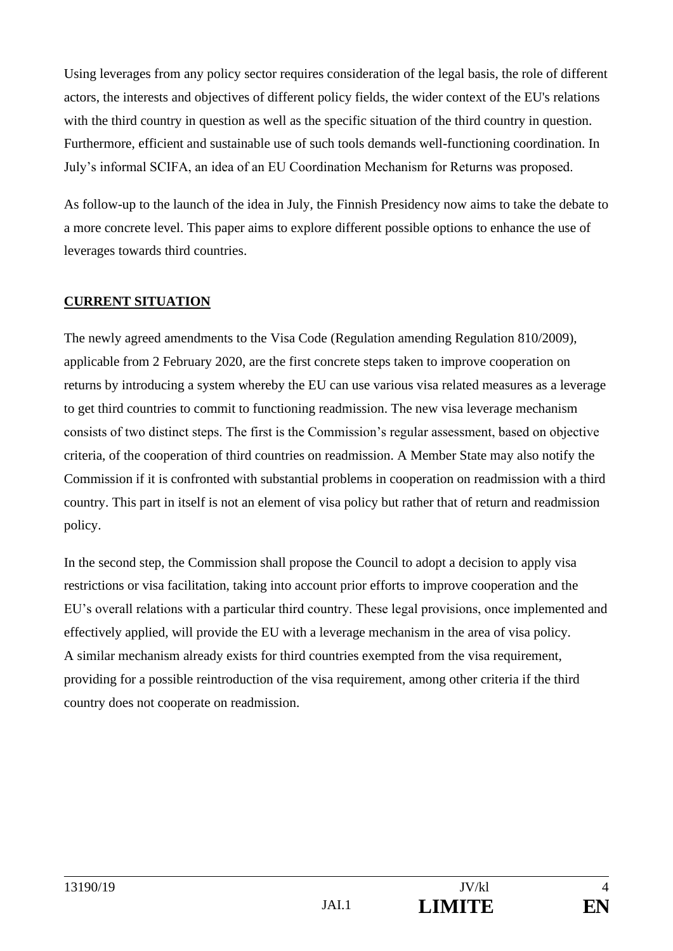Using leverages from any policy sector requires consideration of the legal basis, the role of different actors, the interests and objectives of different policy fields, the wider context of the EU's relations with the third country in question as well as the specific situation of the third country in question. Furthermore, efficient and sustainable use of such tools demands well-functioning coordination. In July's informal SCIFA, an idea of an EU Coordination Mechanism for Returns was proposed.

As follow-up to the launch of the idea in July, the Finnish Presidency now aims to take the debate to a more concrete level. This paper aims to explore different possible options to enhance the use of leverages towards third countries.

### **CURRENT SITUATION**

The newly agreed amendments to the Visa Code (Regulation amending Regulation 810/2009), applicable from 2 February 2020, are the first concrete steps taken to improve cooperation on returns by introducing a system whereby the EU can use various visa related measures as a leverage to get third countries to commit to functioning readmission. The new visa leverage mechanism consists of two distinct steps. The first is the Commission's regular assessment, based on objective criteria, of the cooperation of third countries on readmission. A Member State may also notify the Commission if it is confronted with substantial problems in cooperation on readmission with a third country. This part in itself is not an element of visa policy but rather that of return and readmission policy.

In the second step, the Commission shall propose the Council to adopt a decision to apply visa restrictions or visa facilitation, taking into account prior efforts to improve cooperation and the EU's overall relations with a particular third country. These legal provisions, once implemented and effectively applied, will provide the EU with a leverage mechanism in the area of visa policy. A similar mechanism already exists for third countries exempted from the visa requirement, providing for a possible reintroduction of the visa requirement, among other criteria if the third country does not cooperate on readmission.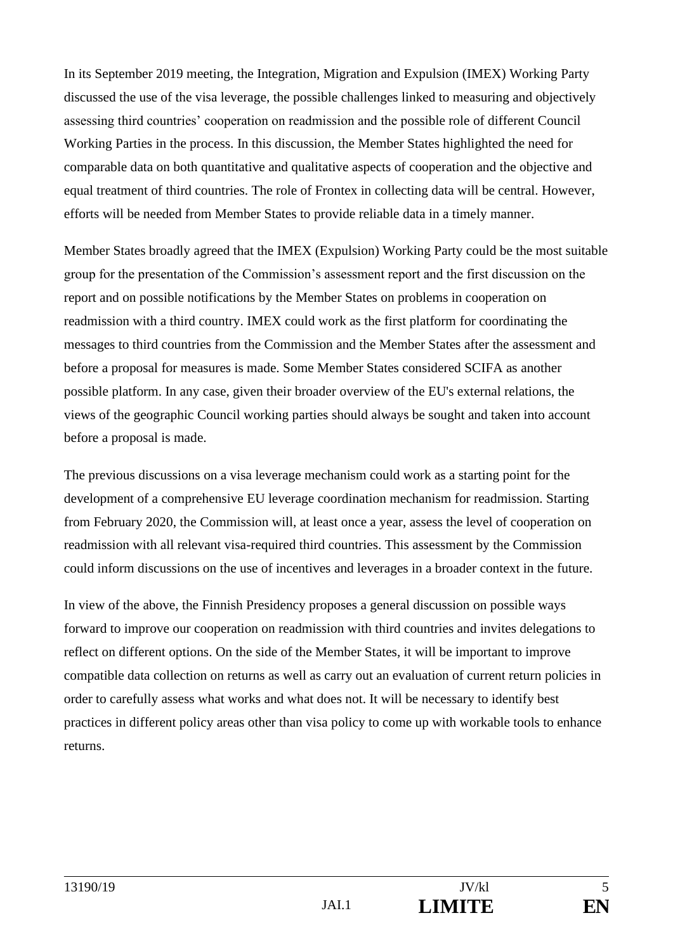In its September 2019 meeting, the Integration, Migration and Expulsion (IMEX) Working Party discussed the use of the visa leverage, the possible challenges linked to measuring and objectively assessing third countries' cooperation on readmission and the possible role of different Council Working Parties in the process. In this discussion, the Member States highlighted the need for comparable data on both quantitative and qualitative aspects of cooperation and the objective and equal treatment of third countries. The role of Frontex in collecting data will be central. However, efforts will be needed from Member States to provide reliable data in a timely manner.

Member States broadly agreed that the IMEX (Expulsion) Working Party could be the most suitable group for the presentation of the Commission's assessment report and the first discussion on the report and on possible notifications by the Member States on problems in cooperation on readmission with a third country. IMEX could work as the first platform for coordinating the messages to third countries from the Commission and the Member States after the assessment and before a proposal for measures is made. Some Member States considered SCIFA as another possible platform. In any case, given their broader overview of the EU's external relations, the views of the geographic Council working parties should always be sought and taken into account before a proposal is made.

The previous discussions on a visa leverage mechanism could work as a starting point for the development of a comprehensive EU leverage coordination mechanism for readmission. Starting from February 2020, the Commission will, at least once a year, assess the level of cooperation on readmission with all relevant visa-required third countries. This assessment by the Commission could inform discussions on the use of incentives and leverages in a broader context in the future.

In view of the above, the Finnish Presidency proposes a general discussion on possible ways forward to improve our cooperation on readmission with third countries and invites delegations to reflect on different options. On the side of the Member States, it will be important to improve compatible data collection on returns as well as carry out an evaluation of current return policies in order to carefully assess what works and what does not. It will be necessary to identify best practices in different policy areas other than visa policy to come up with workable tools to enhance returns.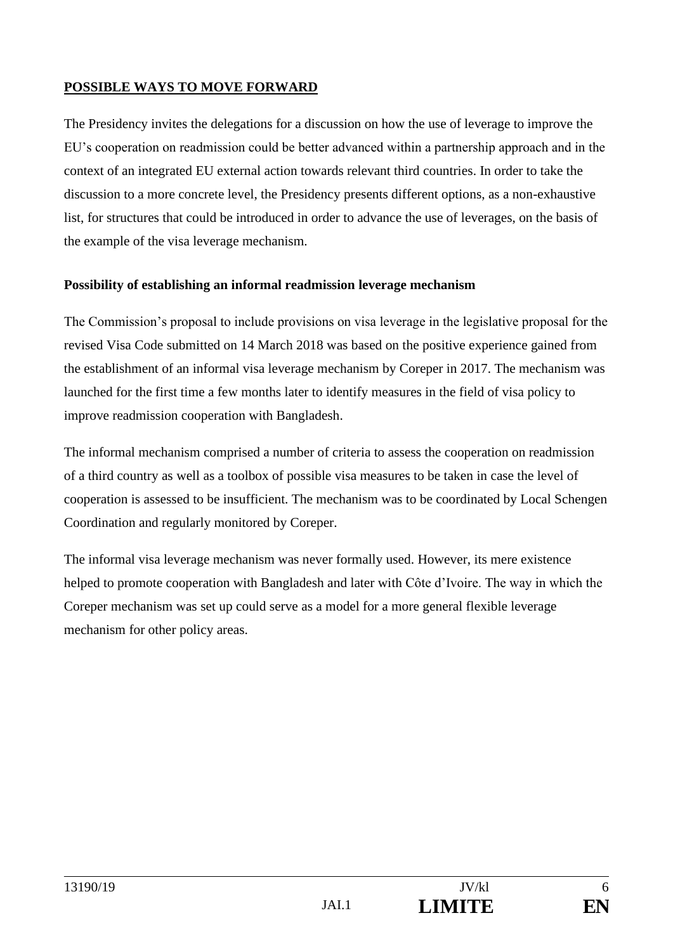## **POSSIBLE WAYS TO MOVE FORWARD**

The Presidency invites the delegations for a discussion on how the use of leverage to improve the EU's cooperation on readmission could be better advanced within a partnership approach and in the context of an integrated EU external action towards relevant third countries. In order to take the discussion to a more concrete level, the Presidency presents different options, as a non-exhaustive list, for structures that could be introduced in order to advance the use of leverages, on the basis of the example of the visa leverage mechanism.

#### **Possibility of establishing an informal readmission leverage mechanism**

The Commission's proposal to include provisions on visa leverage in the legislative proposal for the revised Visa Code submitted on 14 March 2018 was based on the positive experience gained from the establishment of an informal visa leverage mechanism by Coreper in 2017. The mechanism was launched for the first time a few months later to identify measures in the field of visa policy to improve readmission cooperation with Bangladesh.

The informal mechanism comprised a number of criteria to assess the cooperation on readmission of a third country as well as a toolbox of possible visa measures to be taken in case the level of cooperation is assessed to be insufficient. The mechanism was to be coordinated by Local Schengen Coordination and regularly monitored by Coreper.

The informal visa leverage mechanism was never formally used. However, its mere existence helped to promote cooperation with Bangladesh and later with Côte d'Ivoire. The way in which the Coreper mechanism was set up could serve as a model for a more general flexible leverage mechanism for other policy areas.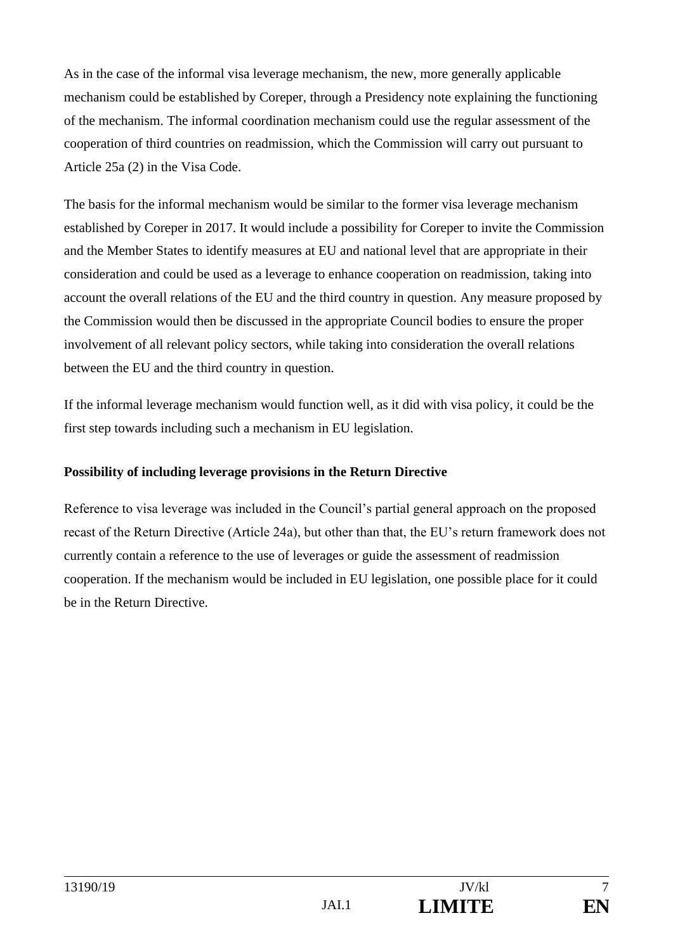As in the case of the informal visa leverage mechanism, the new, more generally applicable mechanism could be established by Coreper, through a Presidency note explaining the functioning of the mechanism. The informal coordination mechanism could use the regular assessment of the cooperation of third countries on readmission, which the Commission will carry out pursuant to Article 25a (2) in the Visa Code.

The basis for the informal mechanism would be similar to the former visa leverage mechanism established by Coreper in 2017. It would include a possibility for Coreper to invite the Commission and the Member States to identify measures at EU and national level that are appropriate in their consideration and could be used as a leverage to enhance cooperation on readmission, taking into account the overall relations of the EU and the third country in question. Any measure proposed by the Commission would then be discussed in the appropriate Council bodies to ensure the proper involvement of all relevant policy sectors, while taking into consideration the overall relations between the EU and the third country in question.

If the informal leverage mechanism would function well, as it did with visa policy, it could be the first step towards including such a mechanism in EU legislation.

#### **Possibility of including leverage provisions in the Return Directive**

Reference to visa leverage was included in the Council's partial general approach on the proposed recast of the Return Directive (Article 24a), but other than that, the EU's return framework does not currently contain a reference to the use of leverages or guide the assessment of readmission cooperation. If the mechanism would be included in EU legislation, one possible place for it could be in the Return Directive.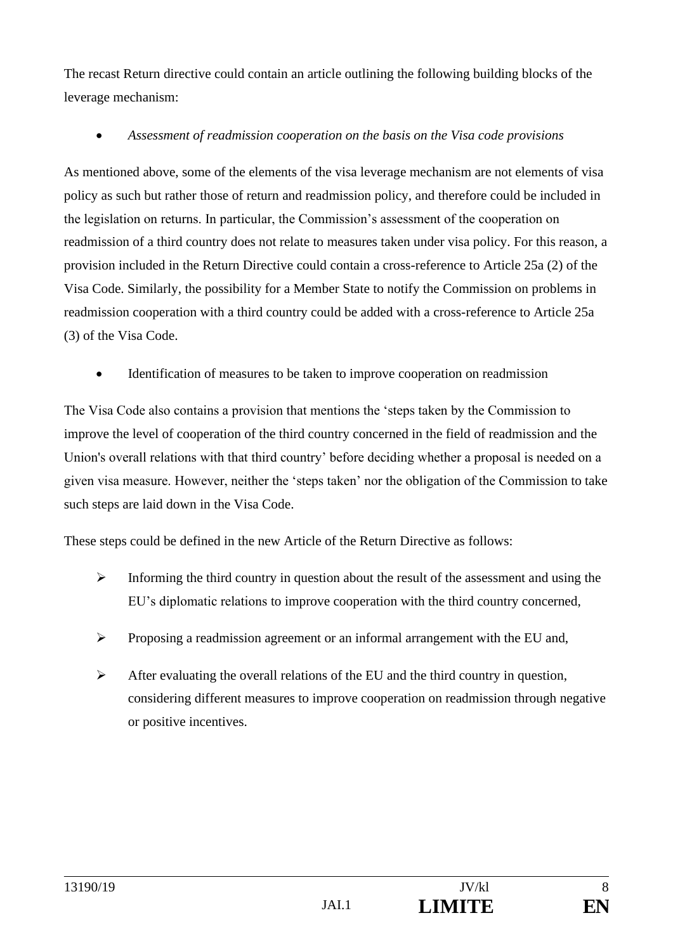The recast Return directive could contain an article outlining the following building blocks of the leverage mechanism:

## • *Assessment of readmission cooperation on the basis on the Visa code provisions*

As mentioned above, some of the elements of the visa leverage mechanism are not elements of visa policy as such but rather those of return and readmission policy, and therefore could be included in the legislation on returns. In particular, the Commission's assessment of the cooperation on readmission of a third country does not relate to measures taken under visa policy. For this reason, a provision included in the Return Directive could contain a cross-reference to Article 25a (2) of the Visa Code. Similarly, the possibility for a Member State to notify the Commission on problems in readmission cooperation with a third country could be added with a cross-reference to Article 25a (3) of the Visa Code.

• Identification of measures to be taken to improve cooperation on readmission

The Visa Code also contains a provision that mentions the 'steps taken by the Commission to improve the level of cooperation of the third country concerned in the field of readmission and the Union's overall relations with that third country' before deciding whether a proposal is needed on a given visa measure. However, neither the 'steps taken' nor the obligation of the Commission to take such steps are laid down in the Visa Code.

These steps could be defined in the new Article of the Return Directive as follows:

- ➢ Informing the third country in question about the result of the assessment and using the EU's diplomatic relations to improve cooperation with the third country concerned,
- ➢ Proposing a readmission agreement or an informal arrangement with the EU and,
- $\triangleright$  After evaluating the overall relations of the EU and the third country in question, considering different measures to improve cooperation on readmission through negative or positive incentives.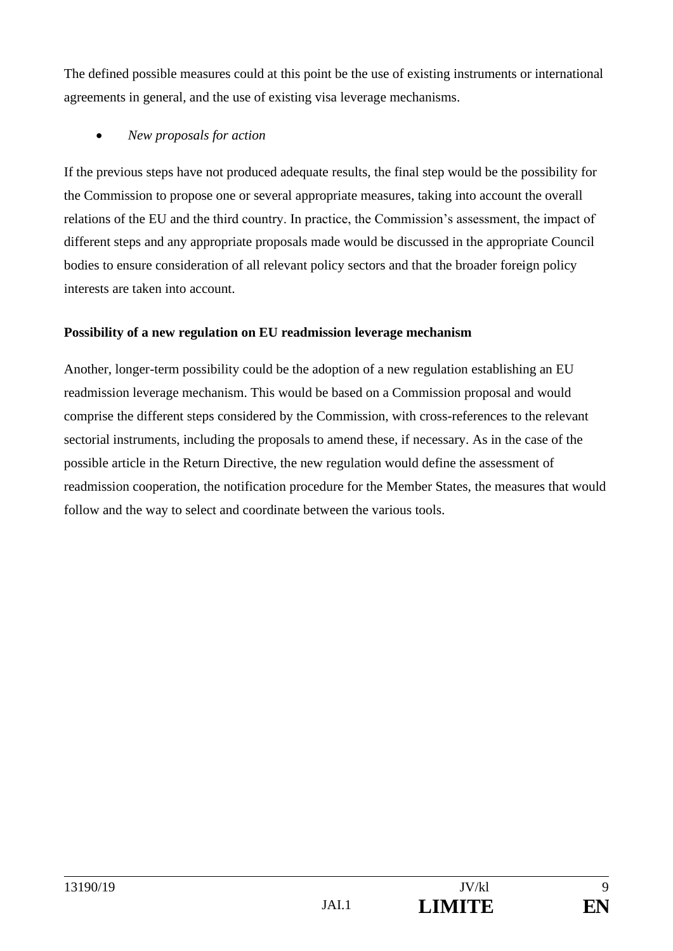The defined possible measures could at this point be the use of existing instruments or international agreements in general, and the use of existing visa leverage mechanisms.

## • *New proposals for action*

If the previous steps have not produced adequate results, the final step would be the possibility for the Commission to propose one or several appropriate measures, taking into account the overall relations of the EU and the third country. In practice, the Commission's assessment, the impact of different steps and any appropriate proposals made would be discussed in the appropriate Council bodies to ensure consideration of all relevant policy sectors and that the broader foreign policy interests are taken into account.

#### **Possibility of a new regulation on EU readmission leverage mechanism**

Another, longer-term possibility could be the adoption of a new regulation establishing an EU readmission leverage mechanism. This would be based on a Commission proposal and would comprise the different steps considered by the Commission, with cross-references to the relevant sectorial instruments, including the proposals to amend these, if necessary. As in the case of the possible article in the Return Directive, the new regulation would define the assessment of readmission cooperation, the notification procedure for the Member States, the measures that would follow and the way to select and coordinate between the various tools.